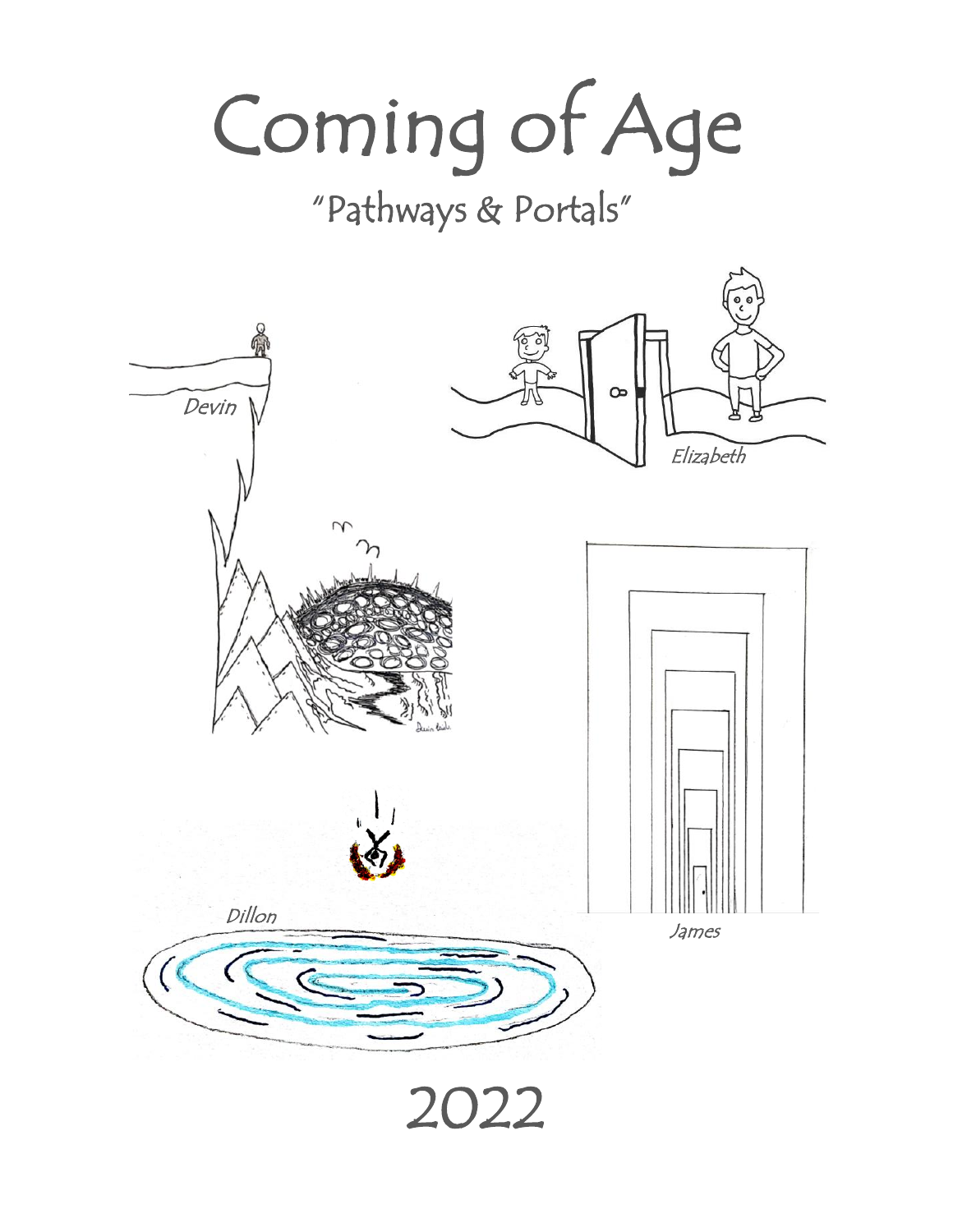# Coming of Age

# "Pathways & Portals"

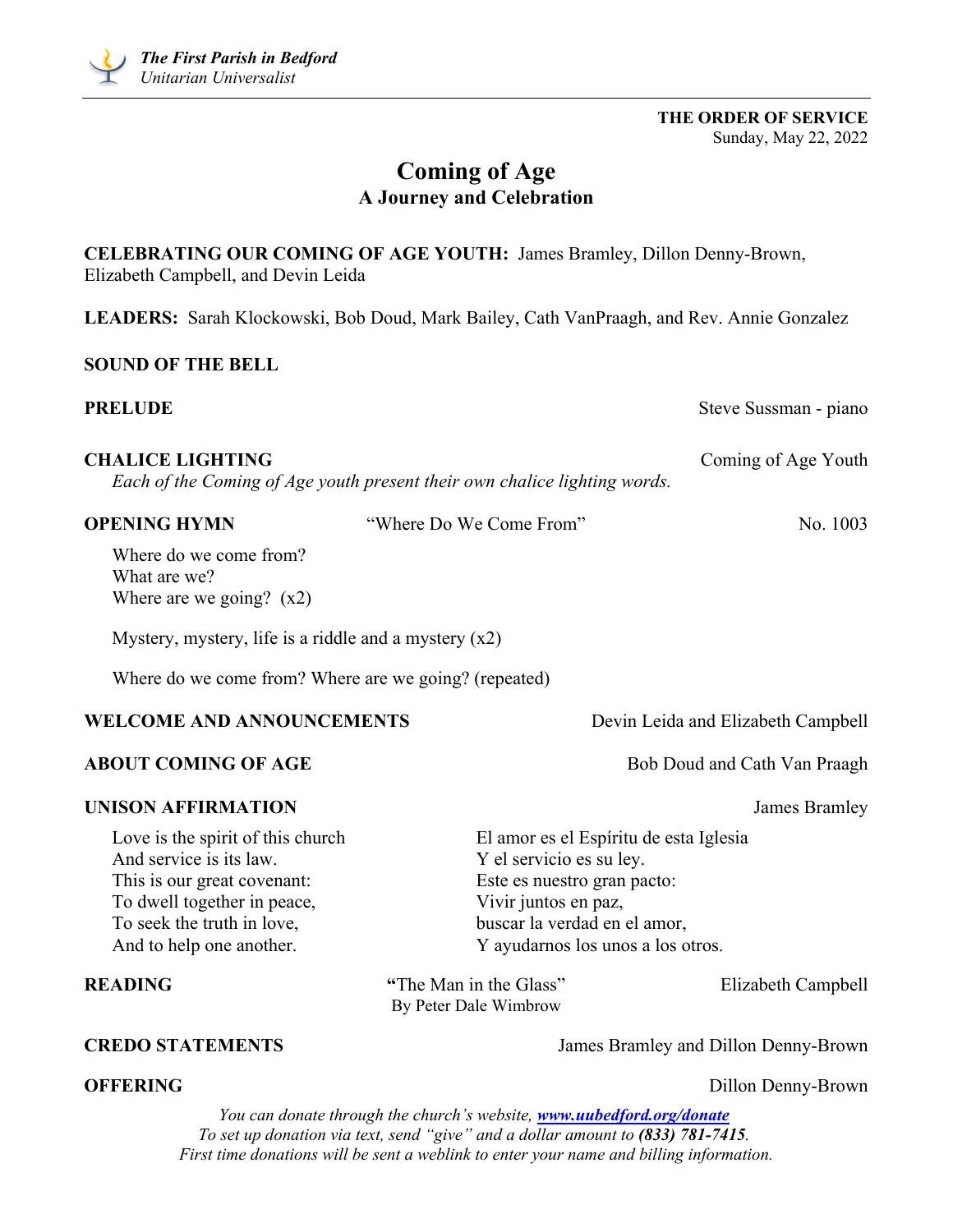**THE ORDER OF SERVICE** Sunday, May 22, 2022

# **Coming of Age A Journey and Celebration**

| Elizabeth Campbell, and Devin Leida                                                                                                                                                  | CELEBRATING OUR COMING OF AGE YOUTH: James Bramley, Dillon Denny-Brown,                                                                                                                        |                                      |
|--------------------------------------------------------------------------------------------------------------------------------------------------------------------------------------|------------------------------------------------------------------------------------------------------------------------------------------------------------------------------------------------|--------------------------------------|
|                                                                                                                                                                                      | LEADERS: Sarah Klockowski, Bob Doud, Mark Bailey, Cath VanPraagh, and Rev. Annie Gonzalez                                                                                                      |                                      |
| <b>SOUND OF THE BELL</b>                                                                                                                                                             |                                                                                                                                                                                                |                                      |
| <b>PRELUDE</b>                                                                                                                                                                       |                                                                                                                                                                                                | Steve Sussman - piano                |
| <b>CHALICE LIGHTING</b>                                                                                                                                                              | Each of the Coming of Age youth present their own chalice lighting words.                                                                                                                      | Coming of Age Youth                  |
| <b>OPENING HYMN</b>                                                                                                                                                                  | "Where Do We Come From"                                                                                                                                                                        | No. 1003                             |
| Where do we come from?<br>What are we?<br>Where are we going? $(x2)$                                                                                                                 |                                                                                                                                                                                                |                                      |
| Mystery, mystery, life is a riddle and a mystery $(x2)$                                                                                                                              |                                                                                                                                                                                                |                                      |
| Where do we come from? Where are we going? (repeated)                                                                                                                                |                                                                                                                                                                                                |                                      |
| <b>WELCOME AND ANNOUNCEMENTS</b>                                                                                                                                                     |                                                                                                                                                                                                | Devin Leida and Elizabeth Campbell   |
| <b>ABOUT COMING OF AGE</b>                                                                                                                                                           |                                                                                                                                                                                                | Bob Doud and Cath Van Praagh         |
| <b>UNISON AFFIRMATION</b>                                                                                                                                                            |                                                                                                                                                                                                | James Bramley                        |
| Love is the spirit of this church<br>And service is its law.<br>This is our great covenant:<br>To dwell together in peace,<br>To seek the truth in love,<br>And to help one another. | El amor es el Espíritu de esta Iglesia<br>Y el servicio es su ley.<br>Este es nuestro gran pacto:<br>Vivir juntos en paz,<br>buscar la verdad en el amor,<br>Y ayudarnos los unos a los otros. |                                      |
| <b>READING</b>                                                                                                                                                                       | "The Man in the Glass"<br>By Peter Dale Wimbrow                                                                                                                                                | Elizabeth Campbell                   |
| <b>CREDO STATEMENTS</b>                                                                                                                                                              |                                                                                                                                                                                                | James Bramley and Dillon Denny-Brown |
| <b>OFFERING</b>                                                                                                                                                                      |                                                                                                                                                                                                | Dillon Denny-Brown                   |
|                                                                                                                                                                                      | You can donate through the church's website, <b>www.uubedford.org/donate</b><br>To set up donation via text, send "give" and a dollar amount to (833) 781-7415.                                |                                      |

*First time donations will be sent a weblink to enter your name and billing information.*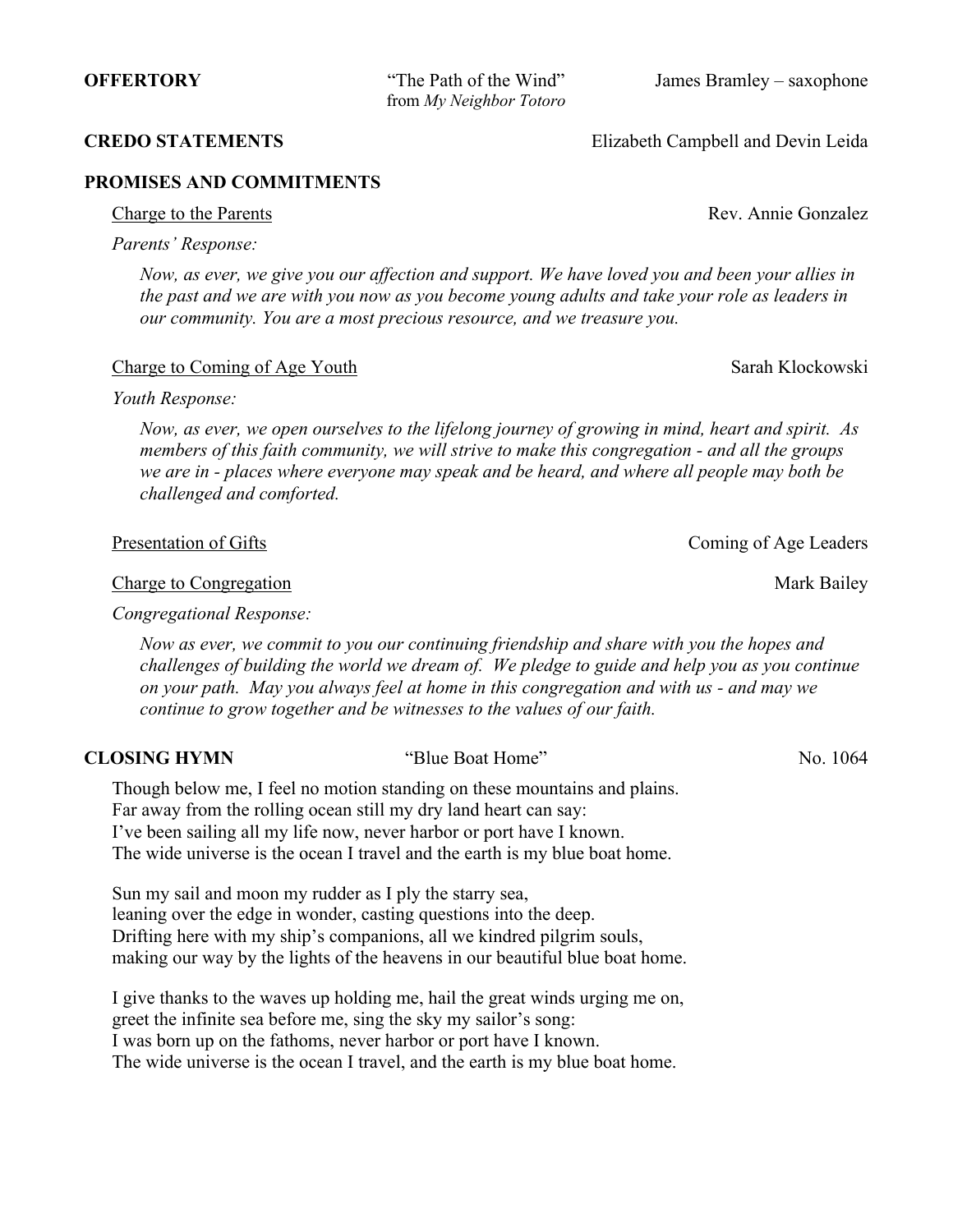from *My Neighbor Totoro*

**OFFERTORY** "The Path of the Wind" James Bramley – saxophone

**CREDO STATEMENTS** Elizabeth Campbell and Devin Leida

Charge to the Parents **Rev.** Annie Gonzalez

# **PROMISES AND COMMITMENTS**

*Parents' Response:* 

*Now, as ever, we give you our affection and support. We have loved you and been your allies in the past and we are with you now as you become young adults and take your role as leaders in our community. You are a most precious resource, and we treasure you.*

# Charge to Coming of Age Youth Sarah Klockowski

# *Youth Response:*

*Now, as ever, we open ourselves to the lifelong journey of growing in mind, heart and spirit. As members of this faith community, we will strive to make this congregation - and all the groups we are in - places where everyone may speak and be heard, and where all people may both be challenged and comforted.*

Presentation of Gifts Coming of Age Leaders

Charge to Congregation Nark Bailey

*Congregational Response:* 

*Now as ever, we commit to you our continuing friendship and share with you the hopes and challenges of building the world we dream of. We pledge to guide and help you as you continue on your path. May you always feel at home in this congregation and with us - and may we continue to grow together and be witnesses to the values of our faith.*

# **CLOSING HYMN** "Blue Boat Home" No. 1064

Though below me, I feel no motion standing on these mountains and plains. Far away from the rolling ocean still my dry land heart can say: I've been sailing all my life now, never harbor or port have I known. The wide universe is the ocean I travel and the earth is my blue boat home.

Sun my sail and moon my rudder as I ply the starry sea, leaning over the edge in wonder, casting questions into the deep. Drifting here with my ship's companions, all we kindred pilgrim souls, making our way by the lights of the heavens in our beautiful blue boat home.

I give thanks to the waves up holding me, hail the great winds urging me on, greet the infinite sea before me, sing the sky my sailor's song: I was born up on the fathoms, never harbor or port have I known. The wide universe is the ocean I travel, and the earth is my blue boat home.